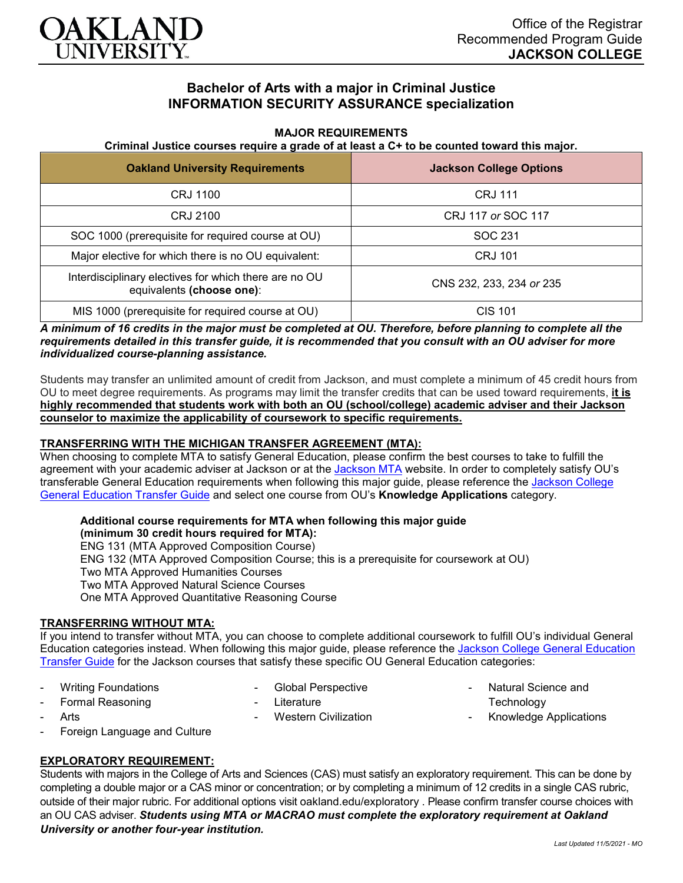

# **Bachelor of Arts with a major in Criminal Justice INFORMATION SECURITY ASSURANCE specialization**

### **MAJOR REQUIREMENTS**

#### **Criminal Justice courses require a grade of at least a C+ to be counted toward this major.**

| <b>Oakland University Requirements</b>                                             | <b>Jackson College Options</b> |
|------------------------------------------------------------------------------------|--------------------------------|
| CRJ 1100                                                                           | <b>CRJ 111</b>                 |
| CRJ 2100                                                                           | CRJ 117 or SOC 117             |
| SOC 1000 (prerequisite for required course at OU)                                  | SOC 231                        |
| Major elective for which there is no OU equivalent:                                | <b>CRJ 101</b>                 |
| Interdisciplinary electives for which there are no OU<br>equivalents (choose one): | CNS 232, 233, 234 or 235       |
| MIS 1000 (prerequisite for required course at OU)                                  | <b>CIS 101</b>                 |

*A minimum of 16 credits in the major must be completed at OU. Therefore, before planning to complete all the requirements detailed in this transfer guide, it is recommended that you consult with an OU adviser for more individualized course-planning assistance.*

Students may transfer an unlimited amount of credit from Jackson, and must complete a minimum of 45 credit hours from OU to meet degree requirements. As programs may limit the transfer credits that can be used toward requirements, **it is highly recommended that students work with both an OU (school/college) academic adviser and their Jackson counselor to maximize the applicability of coursework to specific requirements.**

### **TRANSFERRING WITH THE MICHIGAN TRANSFER AGREEMENT (MTA):**

When choosing to complete MTA to satisfy General Education, please confirm the best courses to take to fulfill the agreement with your academic adviser at [Jackson](https://www.jccmi.edu/transfer/michigan-transfer-agreement/) or at the Jackson MTA website. In order to completely satisfy OU's transferable General Education requirements when following this major guide, please reference the [Jackson College](https://www.oakland.edu/Assets/Oakland/program-guides/jackson-college/university-general-education-requirements/Jackson%20Gen%20Ed.pdf)  [General Education Transfer Guide](https://www.oakland.edu/Assets/Oakland/program-guides/jackson-college/university-general-education-requirements/Jackson%20Gen%20Ed.pdf) and select one course from OU's **Knowledge Applications** category.

## **Additional course requirements for MTA when following this major guide**

**(minimum 30 credit hours required for MTA):**

ENG 131 (MTA Approved Composition Course) ENG 132 (MTA Approved Composition Course; this is a prerequisite for coursework at OU) Two MTA Approved Humanities Courses Two MTA Approved Natural Science Courses One MTA Approved Quantitative Reasoning Course

### **TRANSFERRING WITHOUT MTA:**

If you intend to transfer without MTA, you can choose to complete additional coursework to fulfill OU's individual General Education categories instead. When following this major guide, please reference the [Jackson College General Education](https://www.oakland.edu/Assets/Oakland/program-guides/jackson-college/university-general-education-requirements/Jackson%20Gen%20Ed.pdf)  [Transfer Guide](https://www.oakland.edu/Assets/Oakland/program-guides/jackson-college/university-general-education-requirements/Jackson%20Gen%20Ed.pdf) for the Jackson courses that satisfy these specific OU General Education categories:

Writing Foundations

- Global Perspective

Formal Reasoning

Literature

**Arts** 

Western Civilization

- Natural Science and **Technology**
- Knowledge Applications

Foreign Language and Culture

### **EXPLORATORY REQUIREMENT:**

Students with majors in the College of Arts and Sciences (CAS) must satisfy an exploratory requirement. This can be done by completing a double major or a CAS minor or concentration; or by completing a minimum of 12 credits in a single CAS rubric, outside of their major rubric. For additional options visit [oakland.edu/exploratory](http://www.oakland.edu/exploratory) . Please confirm transfer course choices with an OU CAS adviser. *Students using MTA or MACRAO must complete the exploratory requirement at Oakland University or another four-year institution.*